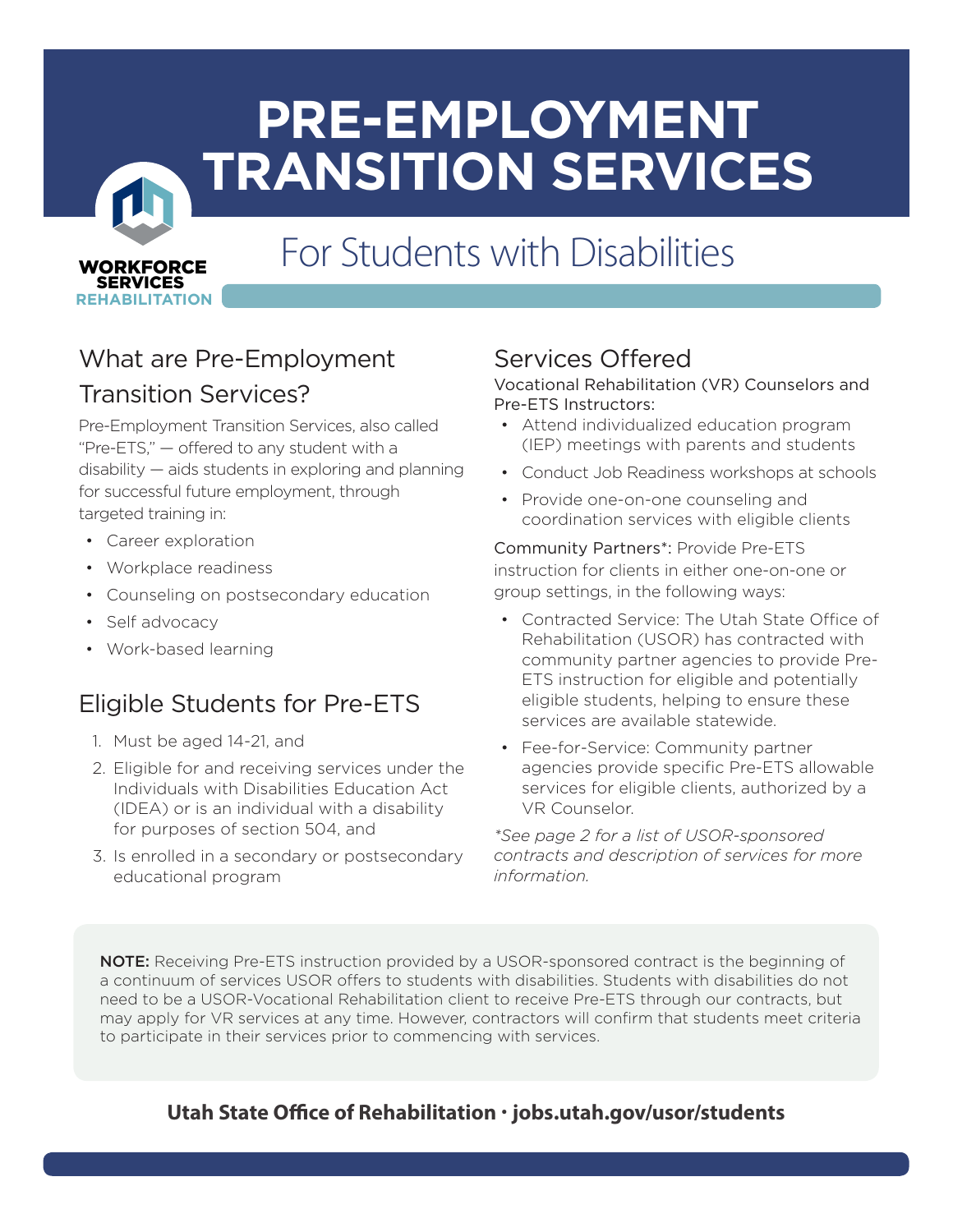# **PRE-EMPLOYMENT TRANSITION SERVICES**

# For Students with Disabilities

# What are Pre-Employment

#### Transition Services?

WORKFORCE WORKFORCE SERVICES SERVICES **REHABILITATION REHABILITATION**

Pre-Employment Transition Services, also called "Pre-ETS," — offered to any student with a disability — aids students in exploring and planning for successful future employment, through targeted training in:

- Career exploration
- Workplace readiness
- Counseling on postsecondary education
- Self advocacy
- Work-based learning

## Eligible Students for Pre-ETS

- 1. Must be aged 14-21, and
- 2. Eligible for and receiving services under the Individuals with Disabilities Education Act (IDEA) or is an individual with a disability for purposes of section 504, and
- 3. Is enrolled in a secondary or postsecondary educational program

## Services Offered

#### Vocational Rehabilitation (VR) Counselors and Pre-ETS Instructors:

- Attend individualized education program (IEP) meetings with parents and students
- Conduct Job Readiness workshops at schools
- Provide one-on-one counseling and coordination services with eligible clients

Community Partners\*: Provide Pre-ETS instruction for clients in either one-on-one or group settings, in the following ways:

- Contracted Service: The Utah State Office of Rehabilitation (USOR) has contracted with community partner agencies to provide Pre-ETS instruction for eligible and potentially eligible students, helping to ensure these services are available statewide.
- Fee-for-Service: Community partner agencies provide specific Pre-ETS allowable services for eligible clients, authorized by a VR Counselor.

*\*See page 2 for a list of USOR-sponsored contracts and description of services for more information.*

NOTE: Receiving Pre-ETS instruction provided by a USOR-sponsored contract is the beginning of a continuum of services USOR offers to students with disabilities. Students with disabilities do not need to be a USOR-Vocational Rehabilitation client to receive Pre-ETS through our contracts, but may apply for VR services at any time. However, contractors will confirm that students meet criteria to participate in their services prior to commencing with services.

#### **Utah State Office of Rehabilitation · jobs.utah.gov/usor/students**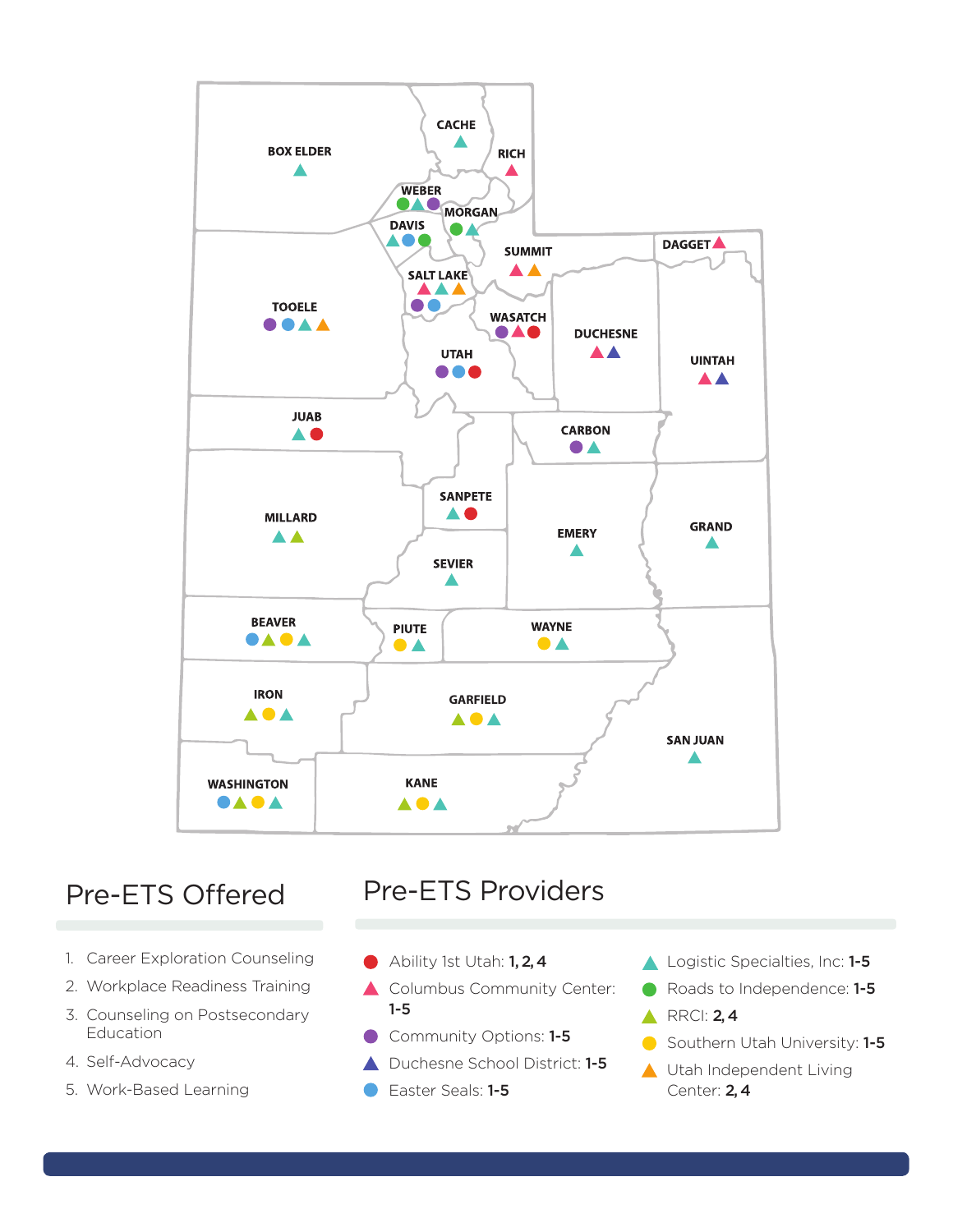

- 1. Career Exploration Counseling
- 2. Workplace Readiness Training
- 3. Counseling on Postsecondary Education
- 4. Self-Advocacy
- 5. Work-Based Learning

## Pre-ETS Offered Pre-ETS Providers

- Ability 1st Utah: 1, 2, 4
- Columbus Community Center: 1-5
- Community Options: 1-5
- ▲ Duchesne School District: 1-5
- Easter Seals: 1-5
- Logistic Specialties, Inc: 1-5
- Roads to Independence: 1-5
- $\triangle$  RRCI: 2,4
- Southern Utah University: 1-5
- Utah Independent Living Center: 2, 4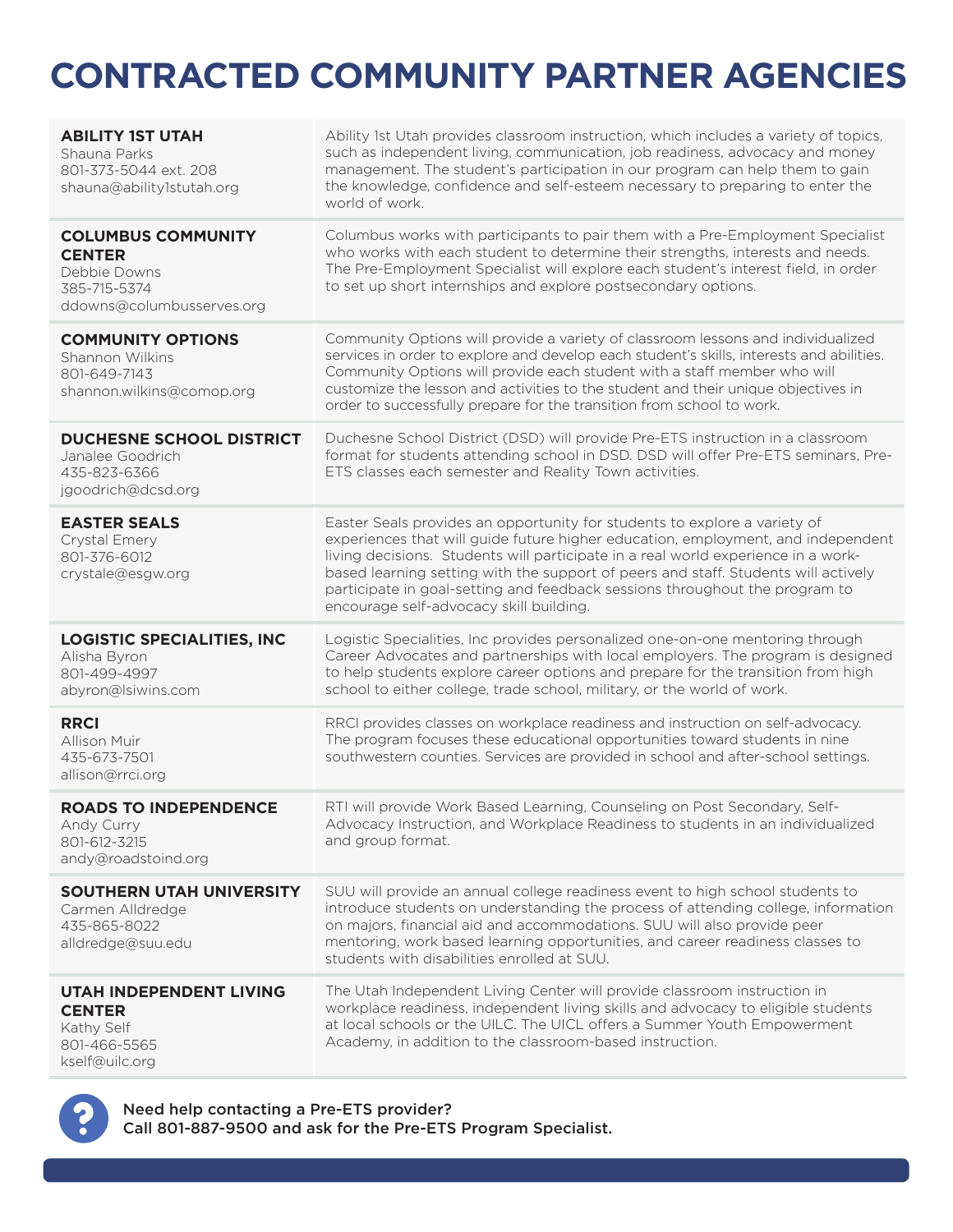# **CONTRACTED COMMUNITY PARTNER AGENCIES**

| <b>ABILITY 1ST UTAH</b><br>Shauna Parks<br>801-373-5044 ext. 208<br>shauna@ability1stutah.org           | Ability 1st Utah provides classroom instruction, which includes a variety of topics,<br>such as independent living, communication, job readiness, advocacy and money<br>management. The student's participation in our program can help them to gain<br>the knowledge, confidence and self-esteem necessary to preparing to enter the<br>world of work.                                                                                                            |
|---------------------------------------------------------------------------------------------------------|--------------------------------------------------------------------------------------------------------------------------------------------------------------------------------------------------------------------------------------------------------------------------------------------------------------------------------------------------------------------------------------------------------------------------------------------------------------------|
| <b>COLUMBUS COMMUNITY</b><br><b>CENTER</b><br>Debbie Downs<br>385-715-5374<br>ddowns@columbusserves.org | Columbus works with participants to pair them with a Pre-Employment Specialist<br>who works with each student to determine their strengths, interests and needs.<br>The Pre-Employment Specialist will explore each student's interest field, in order<br>to set up short internships and explore postsecondary options.                                                                                                                                           |
| <b>COMMUNITY OPTIONS</b><br>Shannon Wilkins<br>801-649-7143<br>shannon.wilkins@comop.org                | Community Options will provide a variety of classroom lessons and individualized<br>services in order to explore and develop each student's skills, interests and abilities.<br>Community Options will provide each student with a staff member who will<br>customize the lesson and activities to the student and their unique objectives in<br>order to successfully prepare for the transition from school to work.                                             |
| <b>DUCHESNE SCHOOL DISTRICT</b><br>Janalee Goodrich<br>435-823-6366<br>jgoodrich@dcsd.org               | Duchesne School District (DSD) will provide Pre-ETS instruction in a classroom<br>format for students attending school in DSD. DSD will offer Pre-ETS seminars, Pre-<br>ETS classes each semester and Reality Town activities.                                                                                                                                                                                                                                     |
| <b>EASTER SEALS</b><br>Crystal Emery<br>801-376-6012<br>crystale@esgw.org                               | Easter Seals provides an opportunity for students to explore a variety of<br>experiences that will guide future higher education, employment, and independent<br>living decisions. Students will participate in a real world experience in a work-<br>based learning setting with the support of peers and staff. Students will actively<br>participate in goal-setting and feedback sessions throughout the program to<br>encourage self-advocacy skill building. |
| <b>LOGISTIC SPECIALITIES, INC</b><br>Alisha Byron<br>801-499-4997<br>abyron@lsiwins.com                 | Logistic Specialities, Inc provides personalized one-on-one mentoring through<br>Career Advocates and partnerships with local employers. The program is designed<br>to help students explore career options and prepare for the transition from high<br>school to either college, trade school, military, or the world of work.                                                                                                                                    |
| <b>RRCI</b><br><b>Allison Muir</b><br>435-673-7501<br>allison@rrci.org                                  | RRCI provides classes on workplace readiness and instruction on self-advocacy.<br>The program focuses these educational opportunities toward students in nine<br>southwestern counties. Services are provided in school and after-school settings.                                                                                                                                                                                                                 |
| <b>ROADS TO INDEPENDENCE</b><br>Andy Curry<br>801-612-3215<br>andy@roadstoind.org                       | RTI will provide Work Based Learning, Counseling on Post Secondary, Self-<br>Advocacy Instruction, and Workplace Readiness to students in an individualized<br>and group format.                                                                                                                                                                                                                                                                                   |
| <b>SOUTHERN UTAH UNIVERSITY</b><br>Carmen Alldredge<br>435-865-8022<br>alldredge@suu.edu                | SUU will provide an annual college readiness event to high school students to<br>introduce students on understanding the process of attending college, information<br>on majors, financial aid and accommodations. SUU will also provide peer<br>mentoring, work based learning opportunities, and career readiness classes to<br>students with disabilities enrolled at SUU.                                                                                      |
| <b>UTAH INDEPENDENT LIVING</b><br><b>CENTER</b><br>Kathy Self<br>801-466-5565<br>kself@uilc.org         | The Utah Independent Living Center will provide classroom instruction in<br>workplace readiness, independent living skills and advocacy to eligible students<br>at local schools or the UILC. The UICL offers a Summer Youth Empowerment<br>Academy, in addition to the classroom-based instruction.                                                                                                                                                               |



Need help contacting a Pre-ETS provider? Call 801-887-9500 and ask for the Pre-ETS Program Specialist.